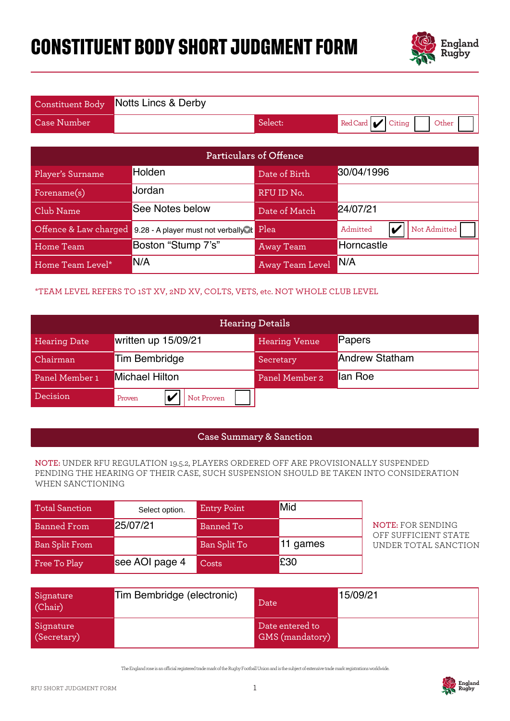# **CONSTITUENT BODY SHORT JUDGMENT FORM**



|                    | Constituent Body Notts Lincs & Derby |         |                       |
|--------------------|--------------------------------------|---------|-----------------------|
| <b>Case Number</b> |                                      | Select: | Red Card Citing Other |

|                                                                 |                                                                              | <b>Particulars of Offence</b> |                      |                                                                                                                                                                             |
|-----------------------------------------------------------------|------------------------------------------------------------------------------|-------------------------------|----------------------|-----------------------------------------------------------------------------------------------------------------------------------------------------------------------------|
| Player's Surname                                                | Holden                                                                       |                               | Date of Birth        | 30/04/1996                                                                                                                                                                  |
| Forename(s)                                                     | Jordan                                                                       |                               | RFU ID No.           |                                                                                                                                                                             |
| Club Name                                                       | See Notes below                                                              |                               | Date of Match        | 24/07/21                                                                                                                                                                    |
| Offence & Law charged                                           | 9.28 - A player must not verbally k Plea                                     |                               |                      | $\boldsymbol{V}$<br>Not Admitted<br>Admitted                                                                                                                                |
| Home Team                                                       | Boston "Stump 7's"                                                           |                               | <b>Away Team</b>     | Horncastle                                                                                                                                                                  |
| Home Team Level*                                                | N/A                                                                          |                               | Away Team Level      | N/A                                                                                                                                                                         |
|                                                                 | *TEAM LEVEL REFERS TO 1ST XV, 2ND XV, COLTS, VETS, etc. NOT WHOLE CLUB LEVEL | <b>Hearing Details</b>        |                      |                                                                                                                                                                             |
| <b>Hearing Date</b>                                             | written up 15/09/21                                                          |                               | <b>Hearing Venue</b> | Papers                                                                                                                                                                      |
| Chairman                                                        | Tim Bembridge                                                                |                               | Secretary            | <b>Andrew Statham</b>                                                                                                                                                       |
| Panel Member 1                                                  | <b>Michael Hilton</b>                                                        |                               | Panel Member 2       | lan Roe                                                                                                                                                                     |
| Decision<br>$\boldsymbol{ \mathbf{v} }$<br>Not Proven<br>Proven |                                                                              |                               |                      |                                                                                                                                                                             |
|                                                                 |                                                                              |                               |                      |                                                                                                                                                                             |
| <b>Case Summary &amp; Sanction</b>                              |                                                                              |                               |                      |                                                                                                                                                                             |
| WHEN SANCTIONING                                                |                                                                              |                               |                      | NOTE: UNDER RFU REGULATION 19.5.2, PLAYERS ORDERED OFF ARE PROVISIONALLY SUSPENDED<br>PENDING THE HEARING OF THEIR CASE, SUCH SUSPENSION SHOULD BE TAKEN INTO CONSIDERATION |
| <b>Total Sanction</b>                                           | Select option.                                                               | <b>Entry Point</b>            | Mid                  |                                                                                                                                                                             |
| <b>Banned From</b>                                              | 25/07/21                                                                     | <b>Banned To</b>              |                      | <b>NOTE: FOR SENDING</b><br>OFF SUFFICIENT STATE                                                                                                                            |
| <b>Ban Split From</b>                                           |                                                                              | Ban Split To                  | 11 games             | UNDER TOTAL SANCTION                                                                                                                                                        |
| Free To Play                                                    | see AOI page 4                                                               | Costs                         | £30                  |                                                                                                                                                                             |

## \*TEAM LEVEL REFERS TO 1ST XV, 2ND XV, COLTS, VETS, etc. NOT WHOLE CLUB LEVEL

| <b>Hearing Details</b> |                       |                      |                       |  |
|------------------------|-----------------------|----------------------|-----------------------|--|
| <b>Hearing Date</b>    | written up 15/09/21   | <b>Hearing Venue</b> | Papers                |  |
| Chairman               | <b>Tim Bembridge</b>  | Secretary            | <b>Andrew Statham</b> |  |
| Panel Member 1         | <b>Michael Hilton</b> | Panel Member 2       | lan Roe               |  |
| Decision               | Not Proven<br>Proven  |                      |                       |  |

#### **Case Summary & Sanction**

#### **NOTE:** UNDER RFU REGULATION 19.5.2, PLAYERS ORDERED OFF ARE PROVISIONALLY SUSPENDED PENDING THE HEARING OF THEIR CASE, SUCH SUSPENSION SHOULD BE TAKEN INTO CONSIDERATION WHEN SANCTIONING

| Total Sanction        | Select option. | <b>Entry Point</b> | Mid      |
|-----------------------|----------------|--------------------|----------|
| Banned From           | 25/07/21       | Banned To          |          |
| <b>Ban Split From</b> |                | Ban Split To       | 11 games |
| Free To Play          | see AOI page 4 | Costs              | £30      |

| Signature<br>(Chair)     | Tim Bembridge (electronic) | Date                               | 15/09/21 |
|--------------------------|----------------------------|------------------------------------|----------|
| Signature<br>(Secretary) |                            | Date entered to<br>GMS (mandatory) |          |

The England rose is an ocial registered trade mark of the Rugby Football Union and is the subject of extensive trade mark registrations worldwide.

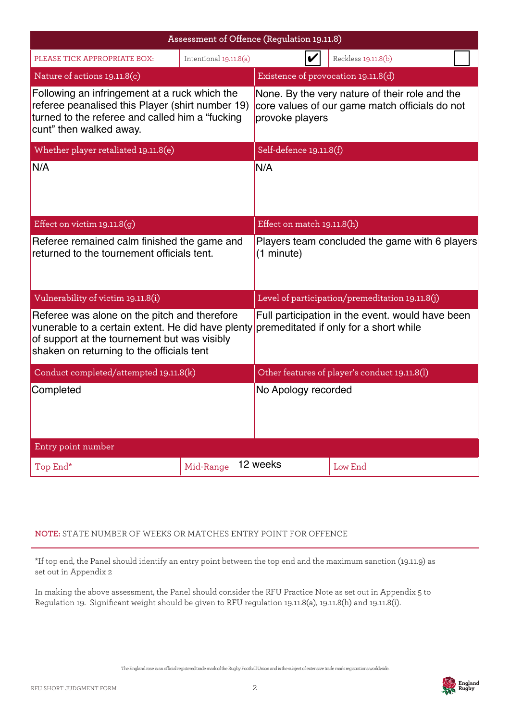| Assessment of Offence (Regulation 19.11.8)                                                                                                                                                     |                        |                                                                                                                     |                                                                                            |  |
|------------------------------------------------------------------------------------------------------------------------------------------------------------------------------------------------|------------------------|---------------------------------------------------------------------------------------------------------------------|--------------------------------------------------------------------------------------------|--|
| PLEASE TICK APPROPRIATE BOX:                                                                                                                                                                   | Intentional 19.11.8(a) |                                                                                                                     | Reckless 19.11.8(b)                                                                        |  |
| Nature of actions 19.11.8(c)                                                                                                                                                                   |                        | Existence of provocation 19.11.8(d)                                                                                 |                                                                                            |  |
| Following an infringement at a ruck which the<br>referee peanalised this Player (shirt number 19)<br>turned to the referee and called him a "fucking"<br>cunt" then walked away.               |                        | None. By the very nature of their role and the<br>core values of our game match officials do not<br>provoke players |                                                                                            |  |
| Whether player retaliated 19.11.8(e)                                                                                                                                                           |                        | Self-defence 19.11.8(f)                                                                                             |                                                                                            |  |
| N/A                                                                                                                                                                                            |                        | N/A                                                                                                                 |                                                                                            |  |
| Effect on victim $19.11.8(g)$                                                                                                                                                                  |                        | Effect on match 19.11.8(h)                                                                                          |                                                                                            |  |
| Referee remained calm finished the game and<br>returned to the tournement officials tent.                                                                                                      |                        | (1 minute)                                                                                                          | Players team concluded the game with 6 players                                             |  |
| Vulnerability of victim 19.11.8(i)                                                                                                                                                             |                        |                                                                                                                     | Level of participation/premeditation 19.11.8(j)                                            |  |
| Referee was alone on the pitch and therefore<br>vunerable to a certain extent. He did have plenty<br>of support at the tournement but was visibly<br>shaken on returning to the officials tent |                        |                                                                                                                     | Full participation in the event. would have been<br>premeditated if only for a short while |  |
| Conduct completed/attempted 19.11.8(k)                                                                                                                                                         |                        | Other features of player's conduct 19.11.8(l)                                                                       |                                                                                            |  |
| Completed                                                                                                                                                                                      |                        | No Apology recorded                                                                                                 |                                                                                            |  |
| Entry point number                                                                                                                                                                             |                        |                                                                                                                     |                                                                                            |  |
| Top End*                                                                                                                                                                                       | Mid-Range              | 12 weeks                                                                                                            | Low End                                                                                    |  |

# **NOTE:** STATE NUMBER OF WEEKS OR MATCHES ENTRY POINT FOR OFFENCE

\*If top end, the Panel should identify an entry point between the top end and the maximum sanction (19.11.9) as set out in Appendix 2

In making the above assessment, the Panel should consider the RFU Practice Note as set out in Appendix 5 to Regulation 19. Significant weight should be given to RFU regulation 19.11.8(a), 19.11.8(h) and 19.11.8(i).

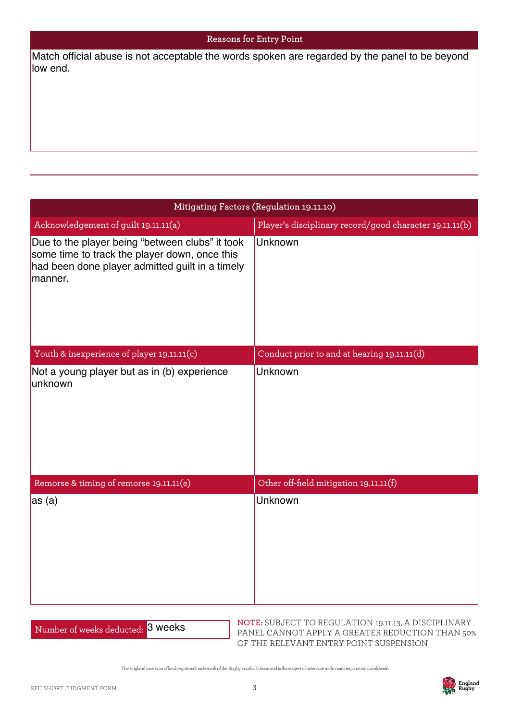#### **Reasons for Entry Point**

| Match official abuse is not acceptable the words spoken are regarded by the panel to be beyond<br>low end.                                                     |                                                         |  |  |
|----------------------------------------------------------------------------------------------------------------------------------------------------------------|---------------------------------------------------------|--|--|
|                                                                                                                                                                |                                                         |  |  |
|                                                                                                                                                                |                                                         |  |  |
|                                                                                                                                                                |                                                         |  |  |
|                                                                                                                                                                |                                                         |  |  |
|                                                                                                                                                                | Mitigating Factors (Regulation 19.11.10)                |  |  |
| Acknowledgement of guilt 19.11.11(a)                                                                                                                           | Player's disciplinary record/good character 19.11.11(b) |  |  |
| Due to the player being "between clubs" it took<br>some time to track the player down, once this<br>had been done player admitted guilt in a timely<br>manner. | Unknown                                                 |  |  |
| Youth & inexperience of player 19.11.11(c)                                                                                                                     | Conduct prior to and at hearing 19.11.11(d)             |  |  |
| Not a young player but as in (b) experience<br>unknown                                                                                                         | Unknown                                                 |  |  |
| Remorse & timing of remorse 19.11.11(e)                                                                                                                        | Other off-field mitigation 19.11.11(f)                  |  |  |
| $\vert$ as (a)                                                                                                                                                 | Unknown                                                 |  |  |

| Number of weeks deducted: 3 weeks |
|-----------------------------------|
|-----------------------------------|

**NOTE:** SUBJECT TO REGULATION 19.11.13, A DISCIPLINARY PANEL CANNOT APPLY A GREATER REDUCTION THAN 50% OF THE RELEVANT ENTRY POINT SUSPENSION

The England rose is an ocial registered trade mark of the Rugby Football Union and is the subject of extensive trade mark registrations worldwide.